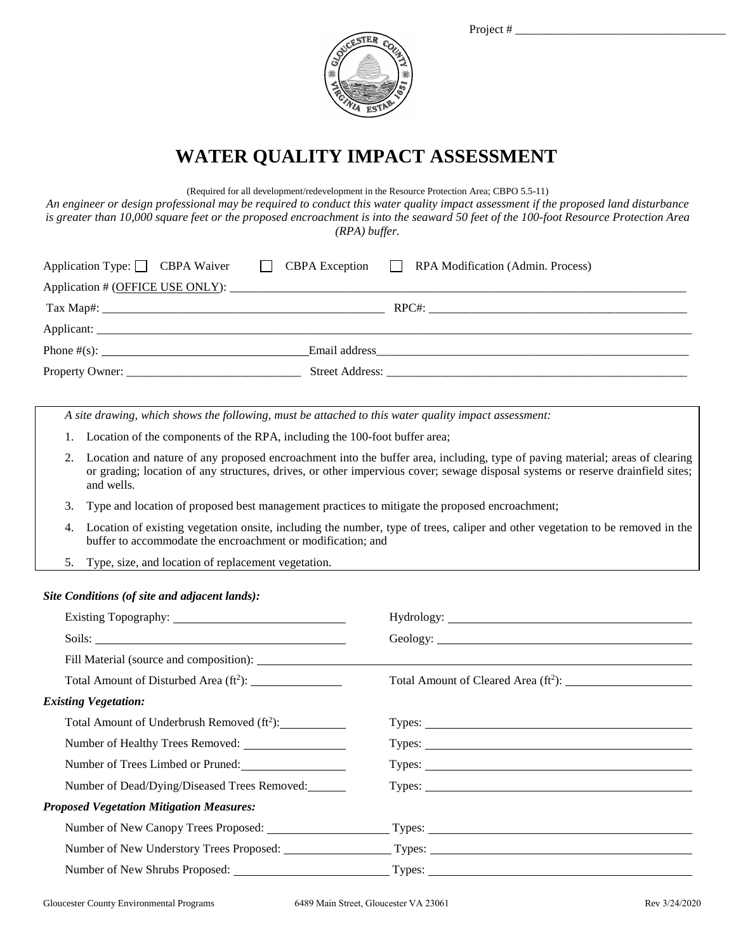

## **WATER QUALITY IMPACT ASSESSMENT**

(Required for all development/redevelopment in the Resource Protection Area; CBPO 5.5-11)

*An engineer or design professional may be required to conduct this water quality impact assessment if the proposed land disturbance is greater than 10,000 square feet or the proposed encroachment is into the seaward 50 feet of the 100-foot Resource Protection Area (RPA) buffer.*

|  | Application Type: CBPA Waiver CBPA Exception RPA Modification (Admin. Process) |
|--|--------------------------------------------------------------------------------|
|  |                                                                                |
|  |                                                                                |
|  |                                                                                |
|  |                                                                                |
|  |                                                                                |

*A site drawing, which shows the following, must be attached to this water quality impact assessment:*

- 1. Location of the components of the RPA, including the 100-foot buffer area;
- 2. Location and nature of any proposed encroachment into the buffer area, including, type of paving material; areas of clearing or grading; location of any structures, drives, or other impervious cover; sewage disposal systems or reserve drainfield sites; and wells.
- 3. Type and location of proposed best management practices to mitigate the proposed encroachment;
- 4. Location of existing vegetation onsite, including the number, type of trees, caliper and other vegetation to be removed in the buffer to accommodate the encroachment or modification; and
- 5. Type, size, and location of replacement vegetation.

## *Site Conditions (of site and adjacent lands):*

| Total Amount of Disturbed Area $(ft^2)$ :              |                                                                                                |  |
|--------------------------------------------------------|------------------------------------------------------------------------------------------------|--|
| <b>Existing Vegetation:</b>                            |                                                                                                |  |
| Total Amount of Underbrush Removed (ft <sup>2</sup> ): | Types:                                                                                         |  |
|                                                        | Types:                                                                                         |  |
| Number of Trees Limbed or Pruned:                      | Types:                                                                                         |  |
| Number of Dead/Dying/Diseased Trees Removed:           | Types: Types:                                                                                  |  |
| <b>Proposed Vegetation Mitigation Measures:</b>        |                                                                                                |  |
|                                                        | Number of New Canopy Trees Proposed: Types: Types: Types: Number of New Canopy Trees Proposed: |  |
|                                                        |                                                                                                |  |
|                                                        |                                                                                                |  |
|                                                        |                                                                                                |  |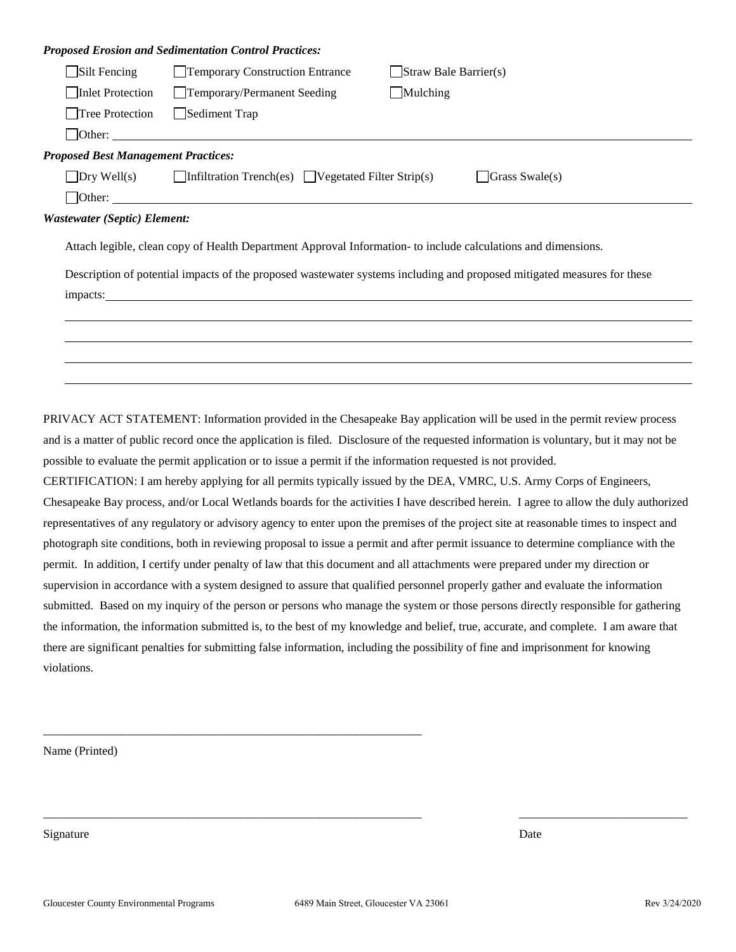|                                            | <b>Proposed Erosion and Sedimentation Control Practices:</b>                       |                                                                                                                         |
|--------------------------------------------|------------------------------------------------------------------------------------|-------------------------------------------------------------------------------------------------------------------------|
| $\Box$ Silt Fencing                        | Temporary Construction Entrance                                                    | $\Box$ Straw Bale Barrier(s)                                                                                            |
| Inlet Protection                           | Temporary/Permanent Seeding                                                        | Multiplying                                                                                                             |
| □Tree Protection                           | Sediment Trap                                                                      |                                                                                                                         |
|                                            | $\Box$ Other: $\Box$                                                               |                                                                                                                         |
| <b>Proposed Best Management Practices:</b> |                                                                                    |                                                                                                                         |
|                                            | $\Box$ Dry Well(s) $\Box$ Infiltration Trench(es) $\Box$ Vegetated Filter Strip(s) | $\vert$ Grass Swale(s)                                                                                                  |
|                                            | $\Box$ Other:                                                                      |                                                                                                                         |
| <b>Wastewater (Septic) Element:</b>        |                                                                                    |                                                                                                                         |
|                                            |                                                                                    | Attach legible, clean copy of Health Department Approval Information- to include calculations and dimensions.           |
|                                            |                                                                                    | Description of potential impacts of the proposed wastewater systems including and proposed mitigated measures for these |
|                                            |                                                                                    |                                                                                                                         |
|                                            |                                                                                    |                                                                                                                         |
|                                            |                                                                                    |                                                                                                                         |
|                                            |                                                                                    |                                                                                                                         |
|                                            |                                                                                    |                                                                                                                         |

PRIVACY ACT STATEMENT: Information provided in the Chesapeake Bay application will be used in the permit review process and is a matter of public record once the application is filed. Disclosure of the requested information is voluntary, but it may not be possible to evaluate the permit application or to issue a permit if the information requested is not provided.

CERTIFICATION: I am hereby applying for all permits typically issued by the DEA, VMRC, U.S. Army Corps of Engineers, Chesapeake Bay process, and/or Local Wetlands boards for the activities I have described herein. I agree to allow the duly authorized representatives of any regulatory or advisory agency to enter upon the premises of the project site at reasonable times to inspect and photograph site conditions, both in reviewing proposal to issue a permit and after permit issuance to determine compliance with the permit. In addition, I certify under penalty of law that this document and all attachments were prepared under my direction or supervision in accordance with a system designed to assure that qualified personnel properly gather and evaluate the information submitted. Based on my inquiry of the person or persons who manage the system or those persons directly responsible for gathering the information, the information submitted is, to the best of my knowledge and belief, true, accurate, and complete. I am aware that there are significant penalties for submitting false information, including the possibility of fine and imprisonment for knowing violations.

Name (Printed)

Signature Date Date of the Date of the United States of the Date of the Date of the Date of the Date of the Date of the Date of the Date of the Date of the Date of the Date of the Date of the Date of the Date of the United

\_\_\_\_\_\_\_\_\_\_\_\_\_\_\_\_\_\_\_\_\_\_\_\_\_\_\_\_\_\_\_\_\_\_\_\_\_\_\_\_\_\_\_\_\_\_\_\_\_\_\_\_\_\_\_\_\_\_\_\_\_\_\_

\_\_\_\_\_\_\_\_\_\_\_\_\_\_\_\_\_\_\_\_\_\_\_\_\_\_\_\_\_\_\_\_\_\_\_\_\_\_\_\_\_\_\_\_\_\_\_\_\_\_\_\_\_\_\_\_\_\_\_\_\_\_\_ \_\_\_\_\_\_\_\_\_\_\_\_\_\_\_\_\_\_\_\_\_\_\_\_\_\_\_\_